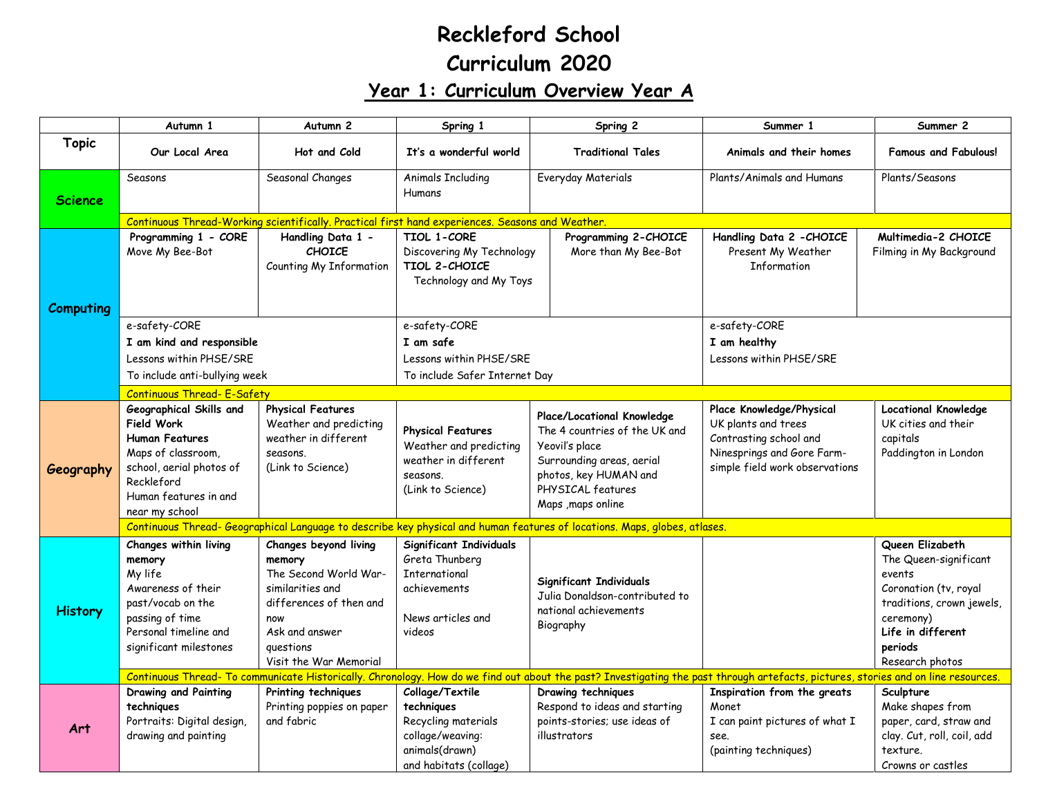## **Reckleford School Curriculum 2020 Year 1: Curriculum Overview Year A**

|                  | Autumn 1                                                                                                                                                                         | Autumn <sub>2</sub>                                                                                                                                                     | Spring 1                                                                                                                                                                                                                                                                                      | Spring 2                                                                                            | Summer 1                                                                                                                                                                          | Summer 2                                                                                                                                                                 |  |  |
|------------------|----------------------------------------------------------------------------------------------------------------------------------------------------------------------------------|-------------------------------------------------------------------------------------------------------------------------------------------------------------------------|-----------------------------------------------------------------------------------------------------------------------------------------------------------------------------------------------------------------------------------------------------------------------------------------------|-----------------------------------------------------------------------------------------------------|-----------------------------------------------------------------------------------------------------------------------------------------------------------------------------------|--------------------------------------------------------------------------------------------------------------------------------------------------------------------------|--|--|
| <b>Topic</b>     | Our Local Area                                                                                                                                                                   | Hot and Cold                                                                                                                                                            | It's a wonderful world                                                                                                                                                                                                                                                                        | <b>Traditional Tales</b>                                                                            | Animals and their homes                                                                                                                                                           | <b>Famous and Fabulous!</b>                                                                                                                                              |  |  |
| <b>Science</b>   | Seasons                                                                                                                                                                          | Seasonal Changes                                                                                                                                                        | <b>Animals Including</b><br>Humans                                                                                                                                                                                                                                                            | Everyday Materials                                                                                  | Plants/Animals and Humans                                                                                                                                                         | Plants/Seasons                                                                                                                                                           |  |  |
|                  |                                                                                                                                                                                  | Continuous Thread-Working scientifically. Practical first hand experiences. Seasons and Weather.                                                                        |                                                                                                                                                                                                                                                                                               |                                                                                                     |                                                                                                                                                                                   |                                                                                                                                                                          |  |  |
| <b>Computing</b> | Programming 1 - CORE<br>Move My Bee-Bot                                                                                                                                          | Handling Data 1 -<br><b>CHOICE</b><br>Counting My Information                                                                                                           | TIOL 1-CORE<br>Discovering My Technology<br>TIOL 2-CHOICE<br>Technology and My Toys                                                                                                                                                                                                           | Programming 2-CHOICE<br>More than My Bee-Bot                                                        | Handling Data 2 - CHOICE<br>Present My Weather<br><b>Information</b>                                                                                                              | Multimedia-2 CHOICE<br>Filming in My Background                                                                                                                          |  |  |
|                  | e-safety-CORE                                                                                                                                                                    |                                                                                                                                                                         | e-safety-CORE                                                                                                                                                                                                                                                                                 |                                                                                                     | e-safety-CORE                                                                                                                                                                     |                                                                                                                                                                          |  |  |
|                  | I am kind and responsible                                                                                                                                                        |                                                                                                                                                                         | I am safe                                                                                                                                                                                                                                                                                     |                                                                                                     | I am healthy                                                                                                                                                                      |                                                                                                                                                                          |  |  |
|                  | Lessons within PHSE/SRE                                                                                                                                                          |                                                                                                                                                                         | Lessons within PHSE/SRE                                                                                                                                                                                                                                                                       |                                                                                                     | Lessons within PHSE/SRE                                                                                                                                                           |                                                                                                                                                                          |  |  |
|                  | To include anti-bullying week                                                                                                                                                    |                                                                                                                                                                         | To include Safer Internet Day                                                                                                                                                                                                                                                                 |                                                                                                     |                                                                                                                                                                                   |                                                                                                                                                                          |  |  |
|                  | <b>Continuous Thread- E-Safety</b>                                                                                                                                               |                                                                                                                                                                         |                                                                                                                                                                                                                                                                                               |                                                                                                     |                                                                                                                                                                                   |                                                                                                                                                                          |  |  |
| Geography        | Geographical Skills and<br><b>Field Work</b><br><b>Human Features</b><br>Maps of classroom,<br>school, aerial photos of<br>Reckleford<br>Human features in and<br>near my school | <b>Physical Features</b><br>Weather and predicting<br>weather in different<br>seasons.<br>(Link to Science)                                                             | Place/Locational Knowledge<br><b>Physical Features</b><br>The 4 countries of the UK and<br>Weather and predicting<br>Yeovil's place<br>weather in different<br>Surrounding areas, aerial<br>photos, key HUMAN and<br>seasons.<br>PHYSICAL features<br>(Link to Science)<br>Maps , maps online |                                                                                                     | Place Knowledge/Physical<br>UK plants and trees<br>Contrasting school and<br>Ninesprings and Gore Farm-<br>simple field work observations                                         | <b>Locational Knowledge</b><br>UK cities and their<br>capitals<br>Paddington in London                                                                                   |  |  |
|                  | Continuous Thread- Geographical Language to describe key physical and human features of locations. Maps, globes, atlases.                                                        |                                                                                                                                                                         |                                                                                                                                                                                                                                                                                               |                                                                                                     |                                                                                                                                                                                   |                                                                                                                                                                          |  |  |
| <b>History</b>   | Changes within living<br>memory<br>My life<br>Awareness of their<br>past/vocab on the<br>passing of time<br>Personal timeline and<br>significant milestones                      | Changes beyond living<br>memory<br>The Second World War-<br>similarities and<br>differences of then and<br>now<br>Ask and answer<br>questions<br>Visit the War Memorial | <b>Significant Individuals</b><br>Greta Thunberg<br><b>International</b><br>achievements<br>News articles and<br>videos                                                                                                                                                                       | Significant Individuals<br>Julia Donaldson-contributed to<br>national achievements<br>Biography     |                                                                                                                                                                                   | Queen Elizabeth<br>The Queen-significant<br>events<br>Coronation (tv, royal<br>traditions, crown jewels,<br>ceremony)<br>Life in different<br>periods<br>Research photos |  |  |
|                  |                                                                                                                                                                                  |                                                                                                                                                                         |                                                                                                                                                                                                                                                                                               |                                                                                                     | Continuous Thread- To communicate Historically. Chronology. How do we find out about the past? Investigating the past through artefacts, pictures, stories and on line resources. |                                                                                                                                                                          |  |  |
| Art              | Drawing and Painting<br>techniques<br>Portraits: Digital design,<br>drawing and painting                                                                                         | Printing techniques<br>Printing poppies on paper<br>and fabric                                                                                                          | Collage/Textile<br>techniques<br>Recycling materials<br>collage/weaving:<br>animals(drawn)<br>and habitats (collage)                                                                                                                                                                          | Drawing techniques<br>Respond to ideas and starting<br>points-stories; use ideas of<br>illustrators | Inspiration from the greats<br>Monet<br>I can paint pictures of what I<br>see.<br>(painting techniques)                                                                           | Sculpture<br>Make shapes from<br>paper, card, straw and<br>clay. Cut, roll, coil, add<br>texture.<br>Crowns or castles                                                   |  |  |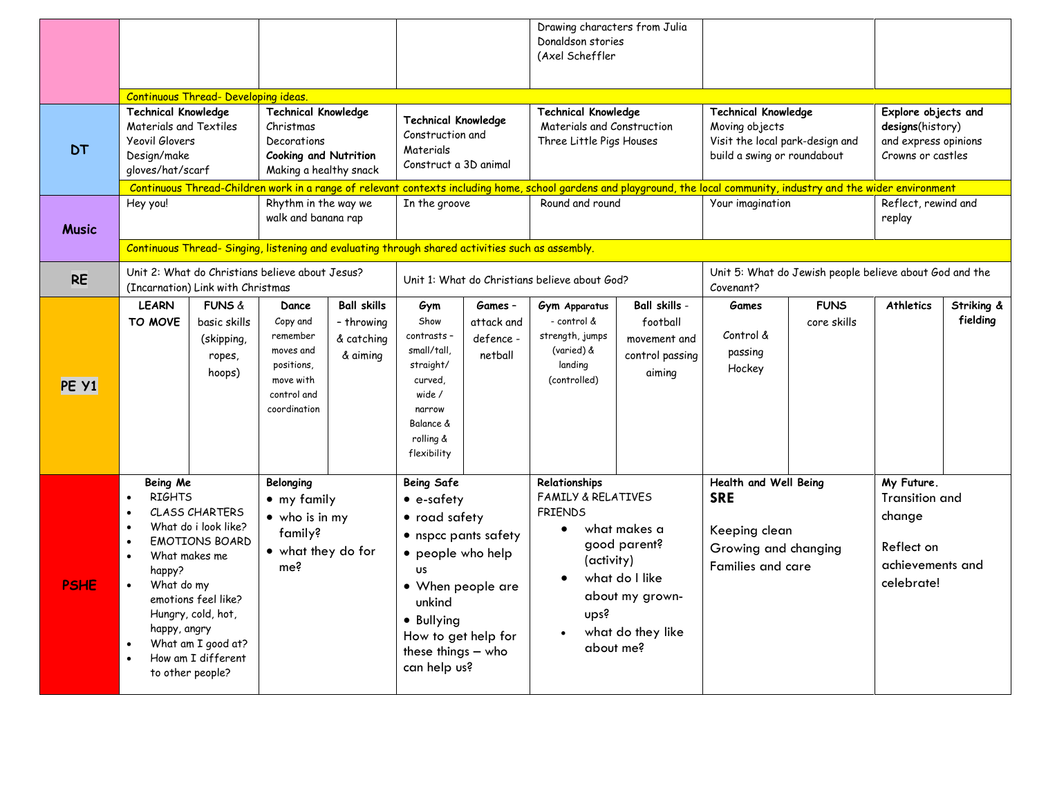|              |                                                                                                                                                                                                                                                                                                                                                                                                                |                                                                     |                                                                                                      |                                                                                      |                                                                                                                                                                                                                      |                                                                                      | Drawing characters from Julia<br>Donaldson stories<br>(Axel Scheffler                                                                                                                         |                                                                                                                |                                                                                                          |                                                                                      |                                                                                        |                        |
|--------------|----------------------------------------------------------------------------------------------------------------------------------------------------------------------------------------------------------------------------------------------------------------------------------------------------------------------------------------------------------------------------------------------------------------|---------------------------------------------------------------------|------------------------------------------------------------------------------------------------------|--------------------------------------------------------------------------------------|----------------------------------------------------------------------------------------------------------------------------------------------------------------------------------------------------------------------|--------------------------------------------------------------------------------------|-----------------------------------------------------------------------------------------------------------------------------------------------------------------------------------------------|----------------------------------------------------------------------------------------------------------------|----------------------------------------------------------------------------------------------------------|--------------------------------------------------------------------------------------|----------------------------------------------------------------------------------------|------------------------|
|              |                                                                                                                                                                                                                                                                                                                                                                                                                | Continuous Thread- Developing ideas.                                |                                                                                                      |                                                                                      |                                                                                                                                                                                                                      |                                                                                      |                                                                                                                                                                                               |                                                                                                                |                                                                                                          |                                                                                      |                                                                                        |                        |
| <b>DT</b>    | <b>Technical Knowledge</b><br><b>Technical Knowledge</b><br>Materials and Textiles<br>Christmas<br><b>Yeovil Glovers</b><br>Decorations<br>Design/make<br><b>Cooking and Nutrition</b><br>gloves/hat/scarf<br>Making a healthy snack<br>Continuous Thread-Children work in a range of relevant contexts including home, school gardens and playground, the local community, industry and the wider environment |                                                                     |                                                                                                      | <b>Technical Knowledge</b><br>Construction and<br>Materials<br>Construct a 3D animal |                                                                                                                                                                                                                      | <b>Technical Knowledge</b><br>Materials and Construction<br>Three Little Pigs Houses |                                                                                                                                                                                               | <b>Technical Knowledge</b><br>Moving objects<br>Visit the local park-design and<br>build a swing or roundabout |                                                                                                          | Explore objects and<br>designs(history)<br>and express opinions<br>Crowns or castles |                                                                                        |                        |
| <b>Music</b> | Hey you!                                                                                                                                                                                                                                                                                                                                                                                                       |                                                                     | Rhythm in the way we<br>walk and banana rap                                                          |                                                                                      | In the groove<br>Continuous Thread- Singing, listening and evaluating through shared activities such as assembly.                                                                                                    |                                                                                      | Round and round                                                                                                                                                                               |                                                                                                                | Your imagination                                                                                         |                                                                                      | Reflect, rewind and<br>replay                                                          |                        |
| <b>RE</b>    | Unit 2: What do Christians believe about Jesus?<br>(Incarnation) Link with Christmas                                                                                                                                                                                                                                                                                                                           |                                                                     |                                                                                                      | Unit 1: What do Christians believe about God?                                        |                                                                                                                                                                                                                      | Unit 5: What do Jewish people believe about God and the<br>Covenant?                 |                                                                                                                                                                                               |                                                                                                                |                                                                                                          |                                                                                      |                                                                                        |                        |
| PE Y1        | <b>LEARN</b><br>TO MOVE                                                                                                                                                                                                                                                                                                                                                                                        | <b>FUNS &amp;</b><br>basic skills<br>(skipping,<br>ropes,<br>hoops) | Dance<br>Copy and<br>remember<br>moves and<br>positions,<br>move with<br>control and<br>coordination | <b>Ball skills</b><br>- throwing<br>& catching<br>& aiming                           | Gym<br>Show<br>contrasts -<br>small/tall,<br>straight/<br>curved.<br>wide /<br>narrow<br>Balance &<br>rolling &<br>flexibility                                                                                       | Games -<br>attack and<br>defence -<br>netball                                        | Gym Apparatus<br>- control &<br>strength, jumps<br>(varied) &<br>landing<br>(controlled)                                                                                                      | Ball skills -<br>football<br>movement and<br>control passing<br>aiming                                         | <b>Games</b><br>Control &<br>passing<br>Hockey                                                           | <b>FUNS</b><br>core skills                                                           | <b>Athletics</b>                                                                       | Striking &<br>fielding |
| <b>PSHE</b>  | Being Me<br><b>RIGHTS</b><br>$\bullet$<br><b>CLASS CHARTERS</b><br>$\bullet$<br>What do i look like?<br>$\bullet$<br><b>EMOTIONS BOARD</b><br>$\bullet$<br>What makes me<br>$\bullet$<br>happy?<br>What do my<br>emotions feel like?<br>Hungry, cold, hot,<br>happy, angry<br>What am I good at?<br>How am I different<br>$\bullet$<br>to other people?                                                        |                                                                     | Belonging<br>• my family<br>$\bullet$ who is in my<br>family?<br>• what they do for<br>me?           |                                                                                      | <b>Being Safe</b><br>• e-safety<br>• road safety<br>• nspcc pants safety<br>• people who help<br><b>US</b><br>• When people are<br>unkind<br>• Bullying<br>How to get help for<br>these things - who<br>can help us? |                                                                                      | Relationships<br><b>FAMILY &amp; RELATIVES</b><br><b>FRIENDS</b><br>what makes a<br>good parent?<br>(activity)<br>what do I like<br>about my grown-<br>ups?<br>what do they like<br>about me? |                                                                                                                | Health and Well Being<br><b>SRE</b><br>Keeping clean<br>Growing and changing<br><b>Families and care</b> |                                                                                      | My Future.<br>Transition and<br>change<br>Reflect on<br>achievements and<br>celebrate! |                        |